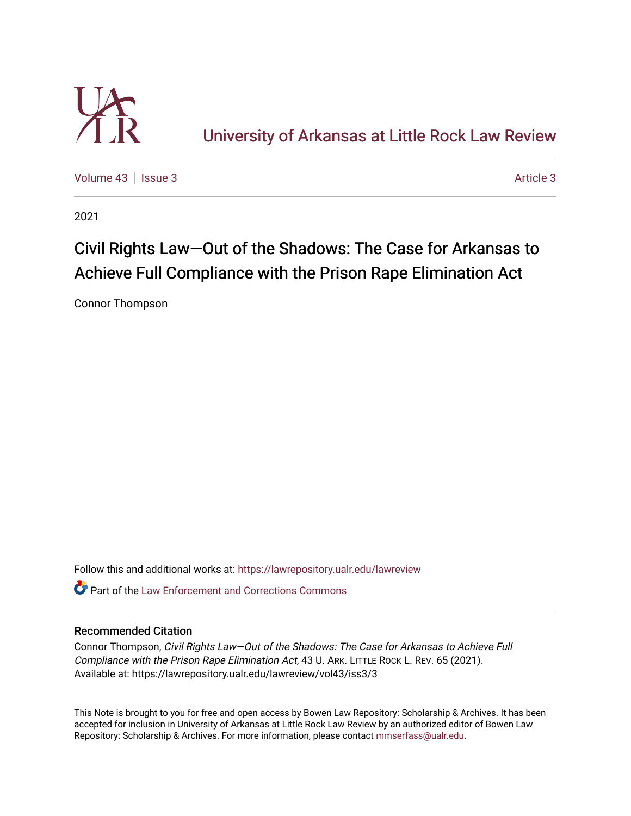

[University of Arkansas at Little Rock Law Review](https://lawrepository.ualr.edu/lawreview) 

[Volume 43](https://lawrepository.ualr.edu/lawreview/vol43) | [Issue 3](https://lawrepository.ualr.edu/lawreview/vol43/iss3) [Article 3](https://lawrepository.ualr.edu/lawreview/vol43/iss3/3) Article 3

2021

# Civil Rights Law—Out of the Shadows: The Case for Arkansas to Achieve Full Compliance with the Prison Rape Elimination Act

Connor Thompson

Follow this and additional works at: [https://lawrepository.ualr.edu/lawreview](https://lawrepository.ualr.edu/lawreview?utm_source=lawrepository.ualr.edu%2Flawreview%2Fvol43%2Fiss3%2F3&utm_medium=PDF&utm_campaign=PDFCoverPages) 

 $\bullet$  Part of the Law Enforcement and Corrections Commons

# Recommended Citation

Connor Thompson, Civil Rights Law—Out of the Shadows: The Case for Arkansas to Achieve Full Compliance with the Prison Rape Elimination Act, 43 U. ARK. LITTLE ROCK L. REV. 65 (2021). Available at: https://lawrepository.ualr.edu/lawreview/vol43/iss3/3

This Note is brought to you for free and open access by Bowen Law Repository: Scholarship & Archives. It has been accepted for inclusion in University of Arkansas at Little Rock Law Review by an authorized editor of Bowen Law Repository: Scholarship & Archives. For more information, please contact [mmserfass@ualr.edu](mailto:mmserfass@ualr.edu).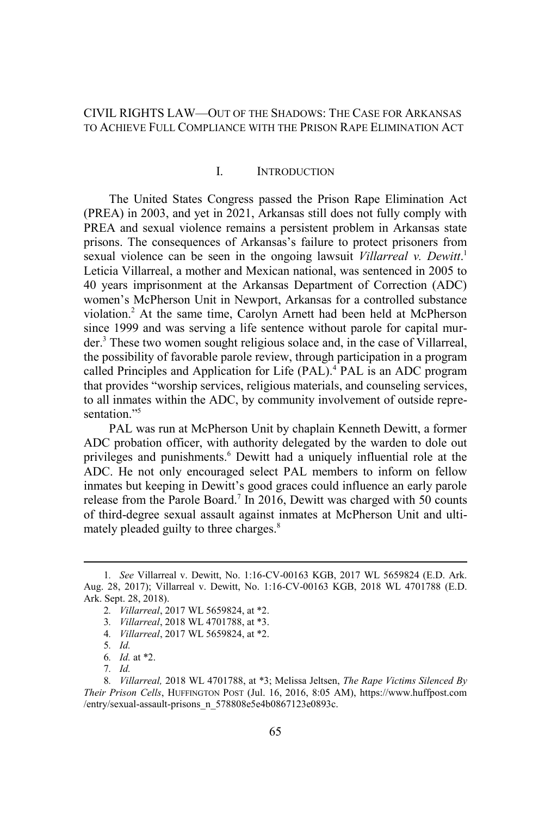# CIVIL RIGHTS LAW—OUT OF THE SHADOWS: THE CASE FOR ARKANSAS TO ACHIEVE FULL COMPLIANCE WITH THE PRISON RAPE ELIMINATION ACT

#### I. INTRODUCTION

The United States Congress passed the Prison Rape Elimination Act (PREA) in 2003, and yet in 2021, Arkansas still does not fully comply with PREA and sexual violence remains a persistent problem in Arkansas state prisons. The consequences of Arkansas's failure to protect prisoners from sexual violence can be seen in the ongoing lawsuit *Villarreal v. Dewitt*.<sup>1</sup> Leticia Villarreal, a mother and Mexican national, was sentenced in 2005 to 40 years imprisonment at the Arkansas Department of Correction (ADC) women's McPherson Unit in Newport, Arkansas for a controlled substance violation.<sup>2</sup> At the same time, Carolyn Arnett had been held at McPherson since 1999 and was serving a life sentence without parole for capital murder.<sup>3</sup> These two women sought religious solace and, in the case of Villarreal, the possibility of favorable parole review, through participation in a program called Principles and Application for Life (PAL).<sup>4</sup> PAL is an ADC program that provides "worship services, religious materials, and counseling services, to all inmates within the ADC, by community involvement of outside representation<sup>"5</sup>

PAL was run at McPherson Unit by chaplain Kenneth Dewitt, a former ADC probation officer, with authority delegated by the warden to dole out privileges and punishments.<sup>6</sup> Dewitt had a uniquely influential role at the ADC. He not only encouraged select PAL members to inform on fellow inmates but keeping in Dewitt's good graces could influence an early parole release from the Parole Board.<sup>7</sup> In 2016, Dewitt was charged with 50 counts of third-degree sexual assault against inmates at McPherson Unit and ultimately pleaded guilty to three charges.<sup>8</sup>

<sup>1</sup>*. See* Villarreal v. Dewitt, No. 1:16-CV-00163 KGB, 2017 WL 5659824 (E.D. Ark. Aug. 28, 2017); Villarreal v. Dewitt, No. 1:16-CV-00163 KGB, 2018 WL 4701788 (E.D. Ark. Sept. 28, 2018).

<sup>2</sup>*. Villarreal*, 2017 WL 5659824, at \*2.

<sup>3</sup>*. Villarreal*, 2018 WL 4701788, at \*3.

<sup>4</sup>*. Villarreal*, 2017 WL 5659824, at \*2.

<sup>5</sup>*. Id.*

<sup>6</sup>*. Id.* at \*2.

<sup>7</sup>*. Id.*

<sup>8</sup>*. Villarreal,* 2018 WL 4701788, at \*3; Melissa Jeltsen, *The Rape Victims Silenced By Their Prison Cells*, HUFFINGTON POST (Jul. 16, 2016, 8:05 AM), https://www.huffpost.com /entry/sexual-assault-prisons\_n\_578808e5e4b0867123e0893c.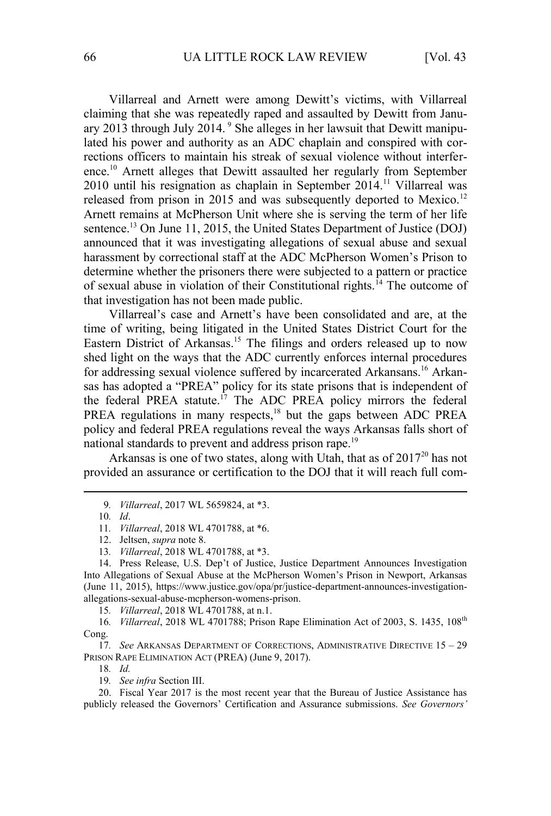Villarreal and Arnett were among Dewitt's victims, with Villarreal claiming that she was repeatedly raped and assaulted by Dewitt from January 2013 through July 2014. <sup>9</sup> She alleges in her lawsuit that Dewitt manipulated his power and authority as an ADC chaplain and conspired with corrections officers to maintain his streak of sexual violence without interference.<sup>10</sup> Arnett alleges that Dewitt assaulted her regularly from September  $2010$  until his resignation as chaplain in September 2014.<sup>11</sup> Villarreal was released from prison in 2015 and was subsequently deported to Mexico.<sup>12</sup> Arnett remains at McPherson Unit where she is serving the term of her life sentence.<sup>13</sup> On June 11, 2015, the United States Department of Justice (DOJ) announced that it was investigating allegations of sexual abuse and sexual harassment by correctional staff at the ADC McPherson Women's Prison to determine whether the prisoners there were subjected to a pattern or practice of sexual abuse in violation of their Constitutional rights.<sup>14</sup> The outcome of that investigation has not been made public.

Villarreal's case and Arnett's have been consolidated and are, at the time of writing, being litigated in the United States District Court for the Eastern District of Arkansas.<sup>15</sup> The filings and orders released up to now shed light on the ways that the ADC currently enforces internal procedures for addressing sexual violence suffered by incarcerated Arkansans.<sup>16</sup> Arkansas has adopted a "PREA" policy for its state prisons that is independent of the federal PREA statute.<sup>17</sup> The ADC PREA policy mirrors the federal PREA regulations in many respects,<sup>18</sup> but the gaps between ADC PREA policy and federal PREA regulations reveal the ways Arkansas falls short of national standards to prevent and address prison rape.<sup>19</sup>

Arkansas is one of two states, along with Utah, that as of  $2017^{20}$  has not provided an assurance or certification to the DOJ that it will reach full com-

15*. Villarreal*, 2018 WL 4701788, at n.1.

16*. Villarreal*, 2018 WL 4701788; Prison Rape Elimination Act of 2003, S. 1435, 108th Cong.

17*. See* ARKANSAS DEPARTMENT OF CORRECTIONS, ADMINISTRATIVE DIRECTIVE 15 – 29 PRISON RAPE ELIMINATION ACT (PREA) (June 9, 2017).

18*. Id.*

19*. See infra* Section III.

20. Fiscal Year 2017 is the most recent year that the Bureau of Justice Assistance has publicly released the Governors' Certification and Assurance submissions. *See Governors'*

<sup>9</sup>*. Villarreal*, 2017 WL 5659824, at \*3.

<sup>10</sup>*. Id*.

<sup>11</sup>*. Villarreal*, 2018 WL 4701788, at \*6.

<sup>12.</sup> Jeltsen, *supra* note 8.

<sup>13</sup>*. Villarreal*, 2018 WL 4701788, at \*3.

<sup>14.</sup> Press Release, U.S. Dep't of Justice, Justice Department Announces Investigation Into Allegations of Sexual Abuse at the McPherson Women's Prison in Newport, Arkansas (June 11, 2015), https://www.justice.gov/opa/pr/justice-department-announces-investigationallegations-sexual-abuse-mcpherson-womens-prison.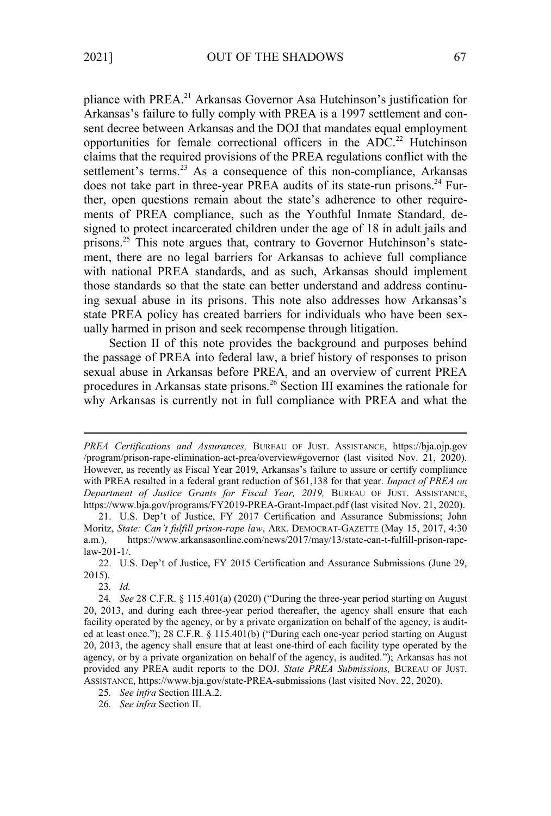pliance with PREA.<sup>21</sup> Arkansas Governor Asa Hutchinson's justification for Arkansas's failure to fully comply with PREA is a 1997 settlement and consent decree between Arkansas and the DOJ that mandates equal employment opportunities for female correctional officers in the ADC.<sup>22</sup> Hutchinson claims that the required provisions of the PREA regulations conflict with the settlement's terms.<sup>23</sup> As a consequence of this non-compliance, Arkansas does not take part in three-year PREA audits of its state-run prisons.<sup>24</sup> Further, open questions remain about the state's adherence to other requirements of PREA compliance, such as the Youthful Inmate Standard, designed to protect incarcerated children under the age of 18 in adult jails and prisons.<sup>25</sup> This note argues that, contrary to Governor Hutchinson's statement, there are no legal barriers for Arkansas to achieve full compliance with national PREA standards, and as such, Arkansas should implement those standards so that the state can better understand and address continuing sexual abuse in its prisons. This note also addresses how Arkansas's state PREA policy has created barriers for individuals who have been sexually harmed in prison and seek recompense through litigation.

Section II of this note provides the background and purposes behind the passage of PREA into federal law, a brief history of responses to prison sexual abuse in Arkansas before PREA, and an overview of current PREA procedures in Arkansas state prisons.<sup>26</sup> Section III examines the rationale for why Arkansas is currently not in full compliance with PREA and what the

26*. See infra* Section II.

*PREA Certifications and Assurances,* BUREAU OF JUST. ASSISTANCE, https://bja.ojp.gov /program/prison-rape-elimination-act-prea/overview#governor (last visited Nov. 21, 2020). However, as recently as Fiscal Year 2019, Arkansas's failure to assure or certify compliance with PREA resulted in a federal grant reduction of \$61,138 for that year. *Impact of PREA on Department of Justice Grants for Fiscal Year, 2019,* BUREAU OF JUST. ASSISTANCE, https://www.bja.gov/programs/FY2019-PREA-Grant-Impact.pdf (last visited Nov. 21, 2020).

<sup>21.</sup> U.S. Dep't of Justice, FY 2017 Certification and Assurance Submissions; John Moritz, *State: Can't fulfill prison-rape law*, ARK. DEMOCRAT-GAZETTE (May 15, 2017, 4:30 a.m.), https://www.arkansasonline.com/news/2017/may/13/state-can-t-fulfill-prison-rapelaw-201-1/.

<sup>22.</sup> U.S. Dep't of Justice, FY 2015 Certification and Assurance Submissions (June 29, 2015).

<sup>23</sup>*. Id.*

<sup>24</sup>*. See* 28 C.F.R. § 115.401(a) (2020) ("During the three-year period starting on August 20, 2013, and during each three-year period thereafter, the agency shall ensure that each facility operated by the agency, or by a private organization on behalf of the agency, is audited at least once."); 28 C.F.R. § 115.401(b) ("During each one-year period starting on August 20, 2013, the agency shall ensure that at least one-third of each facility type operated by the agency, or by a private organization on behalf of the agency, is audited."); Arkansas has not provided any PREA audit reports to the DOJ. *State PREA Submissions,* BUREAU OF JUST. ASSISTANCE, https://www.bja.gov/state-PREA-submissions (last visited Nov. 22, 2020).

<sup>25</sup>*. See infra* Section III.A.2.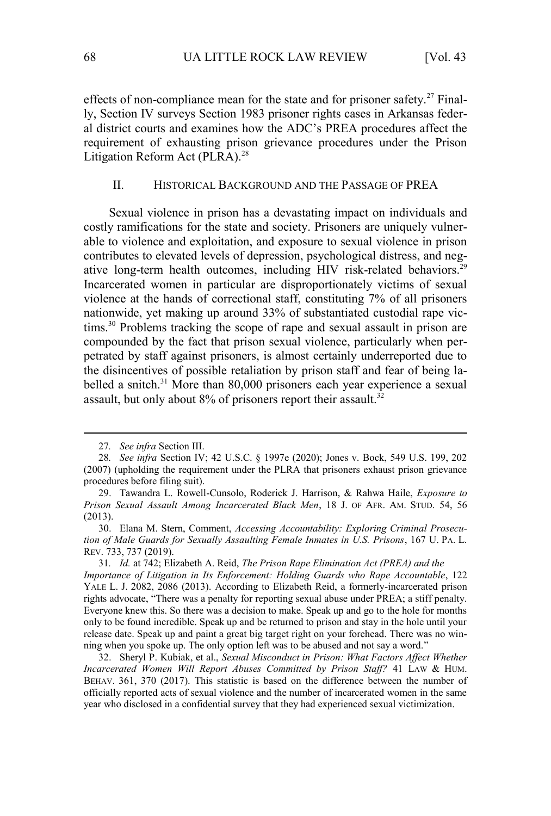effects of non-compliance mean for the state and for prisoner safety.<sup>27</sup> Finally, Section IV surveys Section 1983 prisoner rights cases in Arkansas federal district courts and examines how the ADC's PREA procedures affect the requirement of exhausting prison grievance procedures under the Prison Litigation Reform Act (PLRA).<sup>28</sup>

## II. HISTORICAL BACKGROUND AND THE PASSAGE OF PREA

Sexual violence in prison has a devastating impact on individuals and costly ramifications for the state and society. Prisoners are uniquely vulnerable to violence and exploitation, and exposure to sexual violence in prison contributes to elevated levels of depression, psychological distress, and negative long-term health outcomes, including HIV risk-related behaviors.<sup>29</sup> Incarcerated women in particular are disproportionately victims of sexual violence at the hands of correctional staff, constituting 7% of all prisoners nationwide, yet making up around 33% of substantiated custodial rape victims.<sup>30</sup> Problems tracking the scope of rape and sexual assault in prison are compounded by the fact that prison sexual violence, particularly when perpetrated by staff against prisoners, is almost certainly underreported due to the disincentives of possible retaliation by prison staff and fear of being labelled a snitch.<sup>31</sup> More than 80,000 prisoners each year experience a sexual assault, but only about  $8\%$  of prisoners report their assault.<sup>32</sup>

<sup>27</sup>*. See infra* Section III.

<sup>28</sup>*. See infra* Section IV; 42 U.S.C. § 1997e (2020); Jones v. Bock, 549 U.S. 199, 202 (2007) (upholding the requirement under the PLRA that prisoners exhaust prison grievance procedures before filing suit).

<sup>29.</sup> Tawandra L. Rowell-Cunsolo, Roderick J. Harrison, & Rahwa Haile, *Exposure to Prison Sexual Assault Among Incarcerated Black Men*, 18 J. OF AFR. AM. STUD. 54, 56 (2013).

<sup>30.</sup> Elana M. Stern, Comment, *Accessing Accountability: Exploring Criminal Prosecution of Male Guards for Sexually Assaulting Female Inmates in U.S. Prisons*, 167 U. PA. L. REV. 733, 737 (2019).

<sup>31</sup>*. Id.* at 742; Elizabeth A. Reid, *The Prison Rape Elimination Act (PREA) and the Importance of Litigation in Its Enforcement: Holding Guards who Rape Accountable*, 122 YALE L. J. 2082, 2086 (2013). According to Elizabeth Reid, a formerly-incarcerated prison rights advocate, "There was a penalty for reporting sexual abuse under PREA; a stiff penalty. Everyone knew this. So there was a decision to make. Speak up and go to the hole for months only to be found incredible. Speak up and be returned to prison and stay in the hole until your release date. Speak up and paint a great big target right on your forehead. There was no winning when you spoke up. The only option left was to be abused and not say a word."

<sup>32.</sup> Sheryl P. Kubiak, et al., *Sexual Misconduct in Prison: What Factors Affect Whether Incarcerated Women Will Report Abuses Committed by Prison Staff?* 41 LAW & HUM. BEHAV. 361, 370 (2017). This statistic is based on the difference between the number of officially reported acts of sexual violence and the number of incarcerated women in the same year who disclosed in a confidential survey that they had experienced sexual victimization.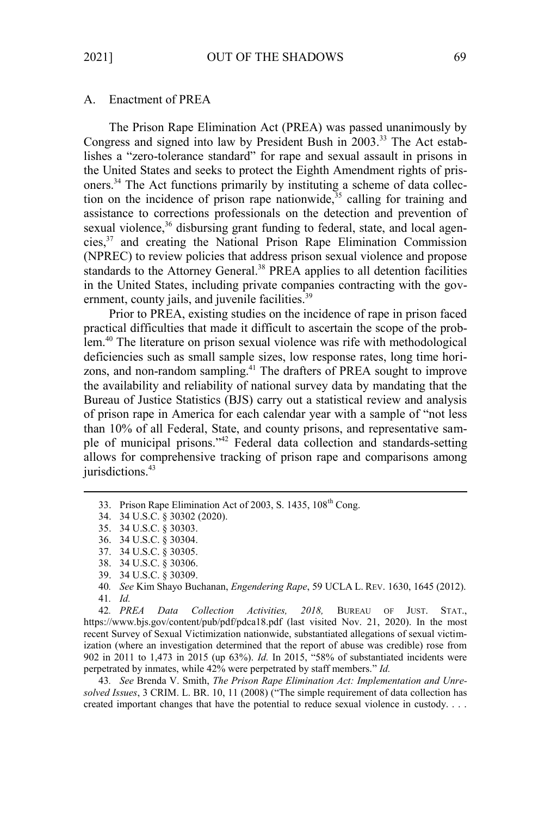#### A. Enactment of PREA

The Prison Rape Elimination Act (PREA) was passed unanimously by Congress and signed into law by President Bush in 2003.33 The Act establishes a "zero-tolerance standard" for rape and sexual assault in prisons in the United States and seeks to protect the Eighth Amendment rights of prisoners.34 The Act functions primarily by instituting a scheme of data collection on the incidence of prison rape nationwide,  $35$  calling for training and assistance to corrections professionals on the detection and prevention of sexual violence,<sup>36</sup> disbursing grant funding to federal, state, and local agencies,<sup>37</sup> and creating the National Prison Rape Elimination Commission (NPREC) to review policies that address prison sexual violence and propose standards to the Attorney General.<sup>38</sup> PREA applies to all detention facilities in the United States, including private companies contracting with the government, county jails, and juvenile facilities.<sup>39</sup>

Prior to PREA, existing studies on the incidence of rape in prison faced practical difficulties that made it difficult to ascertain the scope of the problem.<sup>40</sup> The literature on prison sexual violence was rife with methodological deficiencies such as small sample sizes, low response rates, long time horizons, and non-random sampling.<sup>41</sup> The drafters of PREA sought to improve the availability and reliability of national survey data by mandating that the Bureau of Justice Statistics (BJS) carry out a statistical review and analysis of prison rape in America for each calendar year with a sample of "not less than 10% of all Federal, State, and county prisons, and representative sample of municipal prisons."<sup>42</sup> Federal data collection and standards-setting allows for comprehensive tracking of prison rape and comparisons among jurisdictions.<sup>43</sup>

42*. PREA Data Collection Activities, 2018,* BUREAU OF JUST. STAT., https://www.bjs.gov/content/pub/pdf/pdca18.pdf (last visited Nov. 21, 2020). In the most recent Survey of Sexual Victimization nationwide, substantiated allegations of sexual victimization (where an investigation determined that the report of abuse was credible) rose from 902 in 2011 to 1,473 in 2015 (up 63%). *Id.* In 2015, "58% of substantiated incidents were perpetrated by inmates, while 42% were perpetrated by staff members." *Id.*

43*. See* Brenda V. Smith, *The Prison Rape Elimination Act: Implementation and Unresolved Issues*, 3 CRIM. L. BR. 10, 11 (2008) ("The simple requirement of data collection has created important changes that have the potential to reduce sexual violence in custody. . . .

<sup>33.</sup> Prison Rape Elimination Act of 2003, S. 1435, 108<sup>th</sup> Cong.

<sup>34. 34</sup> U.S.C. § 30302 (2020).

<sup>35. 34</sup> U.S.C. § 30303.

<sup>36. 34</sup> U.S.C. § 30304.

<sup>37. 34</sup> U.S.C. § 30305.

<sup>38. 34</sup> U.S.C. § 30306.

<sup>39. 34</sup> U.S.C. § 30309.

<sup>40</sup>*. See* Kim Shayo Buchanan, *Engendering Rape*, 59 UCLA L. REV. 1630, 1645 (2012). 41*. Id.*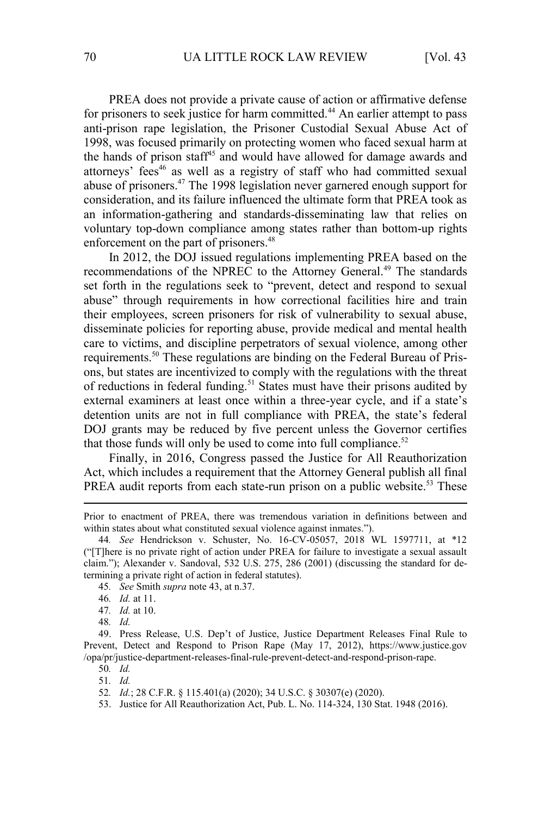PREA does not provide a private cause of action or affirmative defense for prisoners to seek justice for harm committed.<sup>44</sup> An earlier attempt to pass anti-prison rape legislation, the Prisoner Custodial Sexual Abuse Act of 1998, was focused primarily on protecting women who faced sexual harm at the hands of prison staff<sup>45</sup> and would have allowed for damage awards and attorneys' fees<sup>46</sup> as well as a registry of staff who had committed sexual abuse of prisoners.<sup>47</sup> The 1998 legislation never garnered enough support for consideration, and its failure influenced the ultimate form that PREA took as an information-gathering and standards-disseminating law that relies on voluntary top-down compliance among states rather than bottom-up rights enforcement on the part of prisoners.<sup>48</sup>

In 2012, the DOJ issued regulations implementing PREA based on the recommendations of the NPREC to the Attorney General.<sup>49</sup> The standards set forth in the regulations seek to "prevent, detect and respond to sexual abuse" through requirements in how correctional facilities hire and train their employees, screen prisoners for risk of vulnerability to sexual abuse, disseminate policies for reporting abuse, provide medical and mental health care to victims, and discipline perpetrators of sexual violence, among other requirements.50 These regulations are binding on the Federal Bureau of Prisons, but states are incentivized to comply with the regulations with the threat of reductions in federal funding.<sup>51</sup> States must have their prisons audited by external examiners at least once within a three-year cycle, and if a state's detention units are not in full compliance with PREA, the state's federal DOJ grants may be reduced by five percent unless the Governor certifies that those funds will only be used to come into full compliance. $52$ 

Finally, in 2016, Congress passed the Justice for All Reauthorization Act, which includes a requirement that the Attorney General publish all final PREA audit reports from each state-run prison on a public website.<sup>53</sup> These

Prior to enactment of PREA, there was tremendous variation in definitions between and within states about what constituted sexual violence against inmates.").

<sup>44</sup>*. See* Hendrickson v. Schuster, No. 16-CV-05057, 2018 WL 1597711, at \*12 ("[T]here is no private right of action under PREA for failure to investigate a sexual assault claim."); Alexander v. Sandoval, 532 U.S. 275, 286 (2001) (discussing the standard for determining a private right of action in federal statutes).

<sup>45</sup>*. See* Smith *supra* note 43, at n.37.

<sup>46</sup>*. Id.* at 11.

<sup>47</sup>*. Id.* at 10.

<sup>48</sup>*. Id.*

<sup>49.</sup> Press Release, U.S. Dep't of Justice, Justice Department Releases Final Rule to Prevent, Detect and Respond to Prison Rape (May 17, 2012), https://www.justice.gov /opa/pr/justice-department-releases-final-rule-prevent-detect-and-respond-prison-rape.

<sup>50</sup>*. Id.*

<sup>51</sup>*. Id.*

<sup>52</sup>*. Id.*; 28 C.F.R. § 115.401(a) (2020); 34 U.S.C. § 30307(e) (2020).

<sup>53.</sup> Justice for All Reauthorization Act, Pub. L. No. 114-324, 130 Stat. 1948 (2016).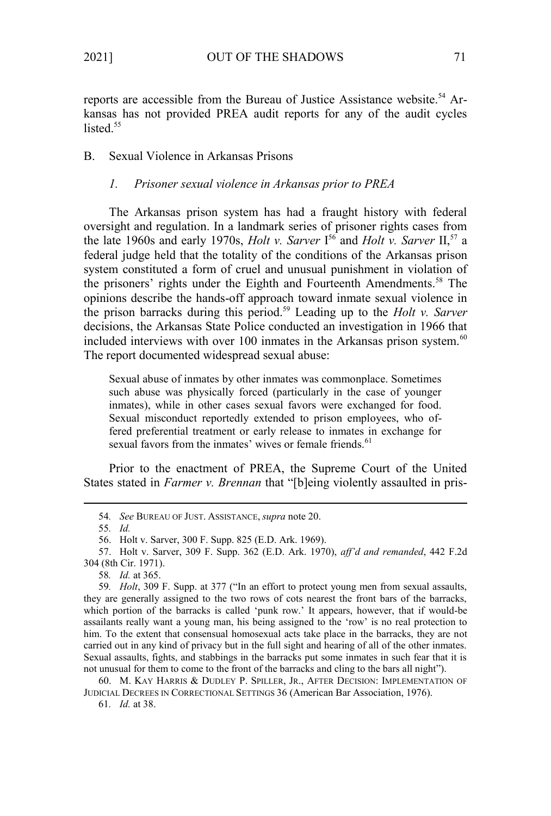reports are accessible from the Bureau of Justice Assistance website.<sup>54</sup> Arkansas has not provided PREA audit reports for any of the audit cycles listed. $55$ 

B. Sexual Violence in Arkansas Prisons

# *1. Prisoner sexual violence in Arkansas prior to PREA*

The Arkansas prison system has had a fraught history with federal oversight and regulation. In a landmark series of prisoner rights cases from the late 1960s and early 1970s, *Holt v. Sarver* I<sup>56</sup> and *Holt v. Sarver* II,<sup>57</sup> a federal judge held that the totality of the conditions of the Arkansas prison system constituted a form of cruel and unusual punishment in violation of the prisoners' rights under the Eighth and Fourteenth Amendments.<sup>58</sup> The opinions describe the hands-off approach toward inmate sexual violence in the prison barracks during this period.<sup>59</sup> Leading up to the *Holt v. Sarver* decisions, the Arkansas State Police conducted an investigation in 1966 that included interviews with over 100 inmates in the Arkansas prison system. $60$ The report documented widespread sexual abuse:

Sexual abuse of inmates by other inmates was commonplace. Sometimes such abuse was physically forced (particularly in the case of younger inmates), while in other cases sexual favors were exchanged for food. Sexual misconduct reportedly extended to prison employees, who offered preferential treatment or early release to inmates in exchange for sexual favors from the inmates' wives or female friends.<sup>61</sup>

Prior to the enactment of PREA, the Supreme Court of the United States stated in *Farmer v. Brennan* that "[b]eing violently assaulted in pris-

61*. Id.* at 38.

<sup>54</sup>*. See* BUREAU OF JUST. ASSISTANCE, *supra* note 20.

<sup>55</sup>*. Id.*

<sup>56.</sup> Holt v. Sarver, 300 F. Supp. 825 (E.D. Ark. 1969).

<sup>57.</sup> Holt v. Sarver, 309 F. Supp. 362 (E.D. Ark. 1970), *aff'd and remanded*, 442 F.2d 304 (8th Cir. 1971).

<sup>58</sup>*. Id.* at 365.

<sup>59</sup>*. Holt*, 309 F. Supp. at 377 ("In an effort to protect young men from sexual assaults, they are generally assigned to the two rows of cots nearest the front bars of the barracks, which portion of the barracks is called 'punk row.' It appears, however, that if would-be assailants really want a young man, his being assigned to the 'row' is no real protection to him. To the extent that consensual homosexual acts take place in the barracks, they are not carried out in any kind of privacy but in the full sight and hearing of all of the other inmates. Sexual assaults, fights, and stabbings in the barracks put some inmates in such fear that it is not unusual for them to come to the front of the barracks and cling to the bars all night").

<sup>60.</sup> M. KAY HARRIS & DUDLEY P. SPILLER, JR., AFTER DECISION: IMPLEMENTATION OF JUDICIAL DECREES IN CORRECTIONAL SETTINGS 36 (American Bar Association, 1976).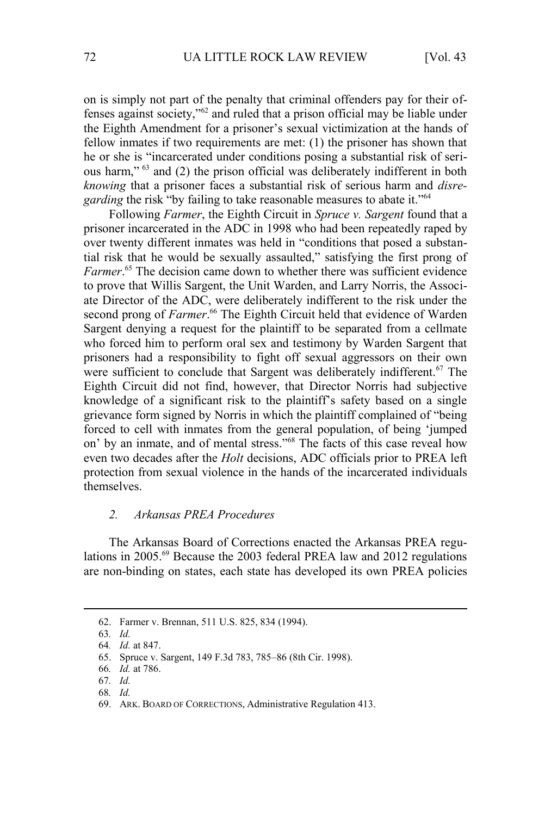on is simply not part of the penalty that criminal offenders pay for their offenses against society,"<sup>62</sup> and ruled that a prison official may be liable under the Eighth Amendment for a prisoner's sexual victimization at the hands of fellow inmates if two requirements are met: (1) the prisoner has shown that he or she is "incarcerated under conditions posing a substantial risk of serious harm," <sup>63</sup> and (2) the prison official was deliberately indifferent in both *knowing* that a prisoner faces a substantial risk of serious harm and *disregarding* the risk "by failing to take reasonable measures to abate it."<sup>64</sup>

Following *Farmer*, the Eighth Circuit in *Spruce v. Sargent* found that a prisoner incarcerated in the ADC in 1998 who had been repeatedly raped by over twenty different inmates was held in "conditions that posed a substantial risk that he would be sexually assaulted," satisfying the first prong of Farmer.<sup>65</sup> The decision came down to whether there was sufficient evidence to prove that Willis Sargent, the Unit Warden, and Larry Norris, the Associate Director of the ADC, were deliberately indifferent to the risk under the second prong of *Farmer*.<sup>66</sup> The Eighth Circuit held that evidence of Warden Sargent denying a request for the plaintiff to be separated from a cellmate who forced him to perform oral sex and testimony by Warden Sargent that prisoners had a responsibility to fight off sexual aggressors on their own were sufficient to conclude that Sargent was deliberately indifferent.<sup>67</sup> The Eighth Circuit did not find, however, that Director Norris had subjective knowledge of a significant risk to the plaintiff's safety based on a single grievance form signed by Norris in which the plaintiff complained of "being forced to cell with inmates from the general population, of being 'jumped on' by an inmate, and of mental stress."<sup>68</sup> The facts of this case reveal how even two decades after the *Holt* decisions, ADC officials prior to PREA left protection from sexual violence in the hands of the incarcerated individuals themselves.

#### *2. Arkansas PREA Procedures*

The Arkansas Board of Corrections enacted the Arkansas PREA regulations in 2005. $^{69}$  Because the 2003 federal PREA law and 2012 regulations are non-binding on states, each state has developed its own PREA policies

<sup>62.</sup> Farmer v. Brennan, 511 U.S. 825, 834 (1994).

<sup>63</sup>*. Id.*

<sup>64</sup>*. Id.* at 847.

<sup>65.</sup> Spruce v. Sargent, 149 F.3d 783, 785–86 (8th Cir. 1998).

<sup>66</sup>*. Id.* at 786.

<sup>67</sup>*. Id.*

<sup>68</sup>*. Id.*

<sup>69.</sup> ARK. BOARD OF CORRECTIONS, Administrative Regulation 413.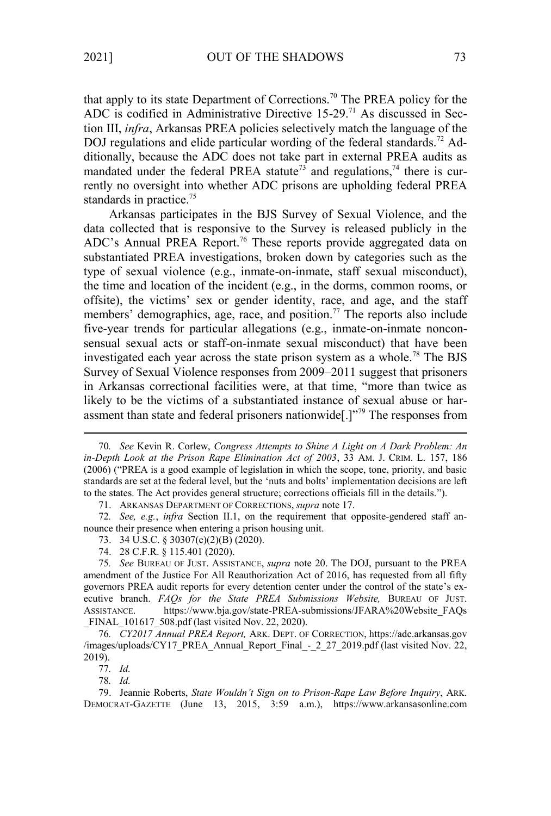that apply to its state Department of Corrections.<sup>70</sup> The PREA policy for the ADC is codified in Administrative Directive  $15-29$ .<sup>71</sup> As discussed in Section III, *infra*, Arkansas PREA policies selectively match the language of the DOJ regulations and elide particular wording of the federal standards.<sup>72</sup> Additionally, because the ADC does not take part in external PREA audits as mandated under the federal PREA statute<sup>73</sup> and regulations,<sup>74</sup> there is currently no oversight into whether ADC prisons are upholding federal PREA standards in practice.<sup>75</sup>

Arkansas participates in the BJS Survey of Sexual Violence, and the data collected that is responsive to the Survey is released publicly in the ADC's Annual PREA Report.<sup>76</sup> These reports provide aggregated data on substantiated PREA investigations, broken down by categories such as the type of sexual violence (e.g., inmate-on-inmate, staff sexual misconduct), the time and location of the incident (e.g., in the dorms, common rooms, or offsite), the victims' sex or gender identity, race, and age, and the staff members' demographics, age, race, and position.<sup>77</sup> The reports also include five-year trends for particular allegations (e.g., inmate-on-inmate nonconsensual sexual acts or staff-on-inmate sexual misconduct) that have been investigated each year across the state prison system as a whole.<sup>78</sup> The BJS Survey of Sexual Violence responses from 2009–2011 suggest that prisoners in Arkansas correctional facilities were, at that time, "more than twice as likely to be the victims of a substantiated instance of sexual abuse or harassment than state and federal prisoners nationwide[.]"<sup>79</sup> The responses from

71. ARKANSAS DEPARTMENT OF CORRECTIONS, *supra* note 17.

72*. See, e.g.*, *infra* Section II.1, on the requirement that opposite-gendered staff announce their presence when entering a prison housing unit.

73. 34 U.S.C. § 30307(e)(2)(B) (2020).

74. 28 C.F.R. § 115.401 (2020).

75*. See* BUREAU OF JUST. ASSISTANCE, *supra* note 20. The DOJ, pursuant to the PREA amendment of the Justice For All Reauthorization Act of 2016, has requested from all fifty governors PREA audit reports for every detention center under the control of the state's executive branch. *FAQs for the State PREA Submissions Website,* BUREAU OF JUST. ASSISTANCE. https://www.bja.gov/state-PREA-submissions/JFARA%20Website\_FAQs FINAL 101617 508.pdf (last visited Nov. 22, 2020).

76*. CY2017 Annual PREA Report,* ARK. DEPT. OF CORRECTION, https://adc.arkansas.gov /images/uploads/CY17\_PREA\_Annual\_Report\_Final\_-\_2\_27\_2019.pdf (last visited Nov. 22, 2019).

79. Jeannie Roberts, *State Wouldn't Sign on to Prison-Rape Law Before Inquiry*, ARK. DEMOCRAT-GAZETTE (June 13, 2015, 3:59 a.m.), https://www.arkansasonline.com

<sup>70</sup>*. See* Kevin R. Corlew, *Congress Attempts to Shine A Light on A Dark Problem: An in-Depth Look at the Prison Rape Elimination Act of 2003*, 33 AM. J. CRIM. L. 157, 186 (2006) ("PREA is a good example of legislation in which the scope, tone, priority, and basic standards are set at the federal level, but the 'nuts and bolts' implementation decisions are left to the states. The Act provides general structure; corrections officials fill in the details.").

<sup>77</sup>*. Id.*

<sup>78</sup>*. Id.*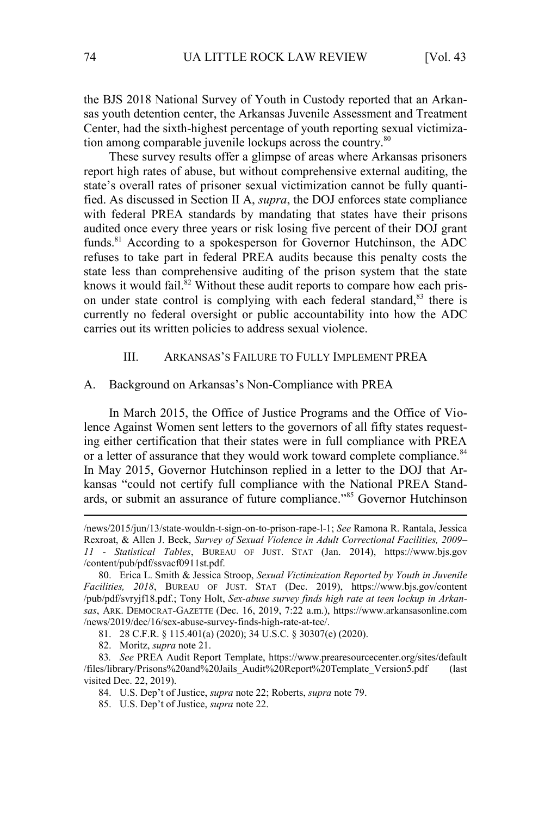the BJS 2018 National Survey of Youth in Custody reported that an Arkansas youth detention center, the Arkansas Juvenile Assessment and Treatment Center, had the sixth-highest percentage of youth reporting sexual victimization among comparable juvenile lockups across the country.<sup>80</sup>

These survey results offer a glimpse of areas where Arkansas prisoners report high rates of abuse, but without comprehensive external auditing, the state's overall rates of prisoner sexual victimization cannot be fully quantified. As discussed in Section II A, *supra*, the DOJ enforces state compliance with federal PREA standards by mandating that states have their prisons audited once every three years or risk losing five percent of their DOJ grant funds.<sup>81</sup> According to a spokesperson for Governor Hutchinson, the ADC refuses to take part in federal PREA audits because this penalty costs the state less than comprehensive auditing of the prison system that the state knows it would fail. ${}^{82}$  Without these audit reports to compare how each prison under state control is complying with each federal standard,<sup>83</sup> there is currently no federal oversight or public accountability into how the ADC carries out its written policies to address sexual violence.

#### III. ARKANSAS'S FAILURE TO FULLY IMPLEMENT PREA

#### A. Background on Arkansas's Non-Compliance with PREA

In March 2015, the Office of Justice Programs and the Office of Violence Against Women sent letters to the governors of all fifty states requesting either certification that their states were in full compliance with PREA or a letter of assurance that they would work toward complete compliance.<sup>84</sup> In May 2015, Governor Hutchinson replied in a letter to the DOJ that Arkansas "could not certify full compliance with the National PREA Standards, or submit an assurance of future compliance."<sup>85</sup> Governor Hutchinson

- 84. U.S. Dep't of Justice, *supra* note 22; Roberts, *supra* note 79.
- 85. U.S. Dep't of Justice, *supra* note 22.

<sup>/</sup>news/2015/jun/13/state-wouldn-t-sign-on-to-prison-rape-l-1; *See* Ramona R. Rantala, Jessica Rexroat, & Allen J. Beck, *Survey of Sexual Violence in Adult Correctional Facilities, 2009– 11 - Statistical Tables*, BUREAU OF JUST. STAT (Jan. 2014), https://www.bjs.gov /content/pub/pdf/ssvacf0911st.pdf.

<sup>80.</sup> Erica L. Smith & Jessica Stroop, *Sexual Victimization Reported by Youth in Juvenile Facilities, 2018*, BUREAU OF JUST. STAT (Dec. 2019), https://www.bjs.gov/content /pub/pdf/svryjf18.pdf.; Tony Holt, *Sex-abuse survey finds high rate at teen lockup in Arkansas*, ARK. DEMOCRAT-GAZETTE (Dec. 16, 2019, 7:22 a.m.), https://www.arkansasonline.com /news/2019/dec/16/sex-abuse-survey-finds-high-rate-at-tee/.

<sup>81.</sup> 28 C.F.R. § 115.401(a) (2020); 34 U.S.C. § 30307(e) (2020).

<sup>82.</sup> Moritz, *supra* note 21.

<sup>83</sup>*. See* PREA Audit Report Template, https://www.prearesourcecenter.org/sites/default /files/library/Prisons%20and%20Jails\_Audit%20Report%20Template\_Version5.pdf (last visited Dec. 22, 2019).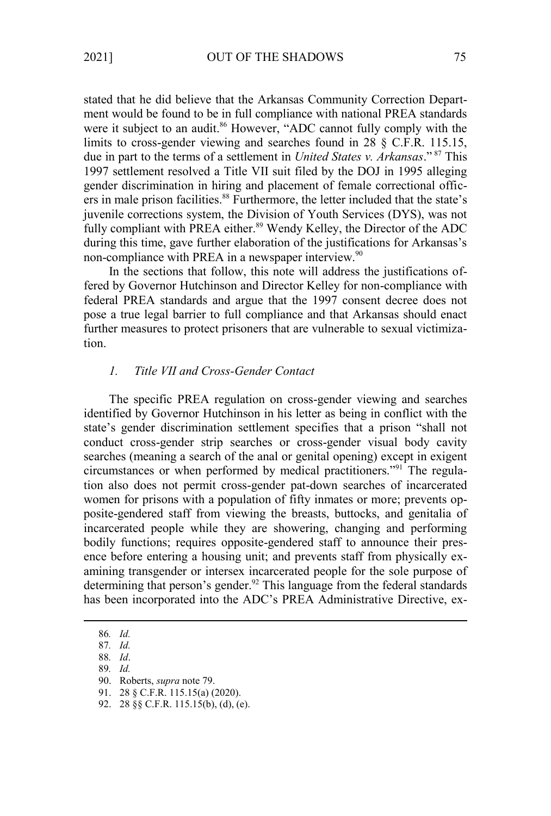stated that he did believe that the Arkansas Community Correction Department would be found to be in full compliance with national PREA standards were it subject to an audit.<sup>86</sup> However, "ADC cannot fully comply with the limits to cross-gender viewing and searches found in 28 § C.F.R. 115.15, due in part to the terms of a settlement in *United States v. Arkansas*." <sup>87</sup> This 1997 settlement resolved a Title VII suit filed by the DOJ in 1995 alleging gender discrimination in hiring and placement of female correctional officers in male prison facilities.<sup>88</sup> Furthermore, the letter included that the state's juvenile corrections system, the Division of Youth Services (DYS), was not fully compliant with PREA either.<sup>89</sup> Wendy Kelley, the Director of the ADC during this time, gave further elaboration of the justifications for Arkansas's non-compliance with PREA in a newspaper interview.<sup>90</sup>

In the sections that follow, this note will address the justifications offered by Governor Hutchinson and Director Kelley for non-compliance with federal PREA standards and argue that the 1997 consent decree does not pose a true legal barrier to full compliance and that Arkansas should enact further measures to protect prisoners that are vulnerable to sexual victimization.

## *1. Title VII and Cross-Gender Contact*

The specific PREA regulation on cross-gender viewing and searches identified by Governor Hutchinson in his letter as being in conflict with the state's gender discrimination settlement specifies that a prison "shall not conduct cross-gender strip searches or cross-gender visual body cavity searches (meaning a search of the anal or genital opening) except in exigent circumstances or when performed by medical practitioners."91 The regulation also does not permit cross-gender pat-down searches of incarcerated women for prisons with a population of fifty inmates or more; prevents opposite-gendered staff from viewing the breasts, buttocks, and genitalia of incarcerated people while they are showering, changing and performing bodily functions; requires opposite-gendered staff to announce their presence before entering a housing unit; and prevents staff from physically examining transgender or intersex incarcerated people for the sole purpose of determining that person's gender.<sup>92</sup> This language from the federal standards has been incorporated into the ADC's PREA Administrative Directive, ex-

<sup>86</sup>*. Id.*

<sup>87</sup>*. Id.*

<sup>88</sup>*. Id*.

<sup>89</sup>*. Id.*

<sup>90.</sup> Roberts, *supra* note 79.

<sup>91.</sup> 28 § C.F.R. 115.15(a) (2020).

<sup>92.</sup> 28 §§ C.F.R. 115.15(b), (d), (e).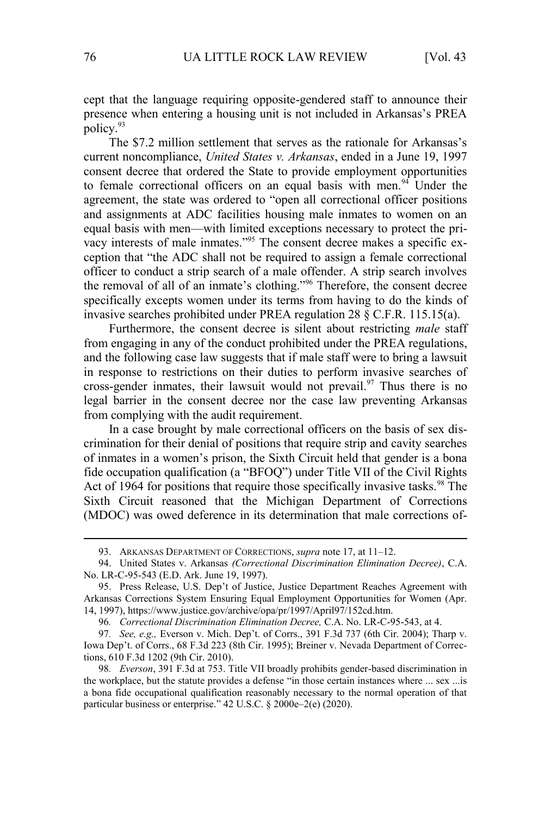cept that the language requiring opposite-gendered staff to announce their presence when entering a housing unit is not included in Arkansas's PREA policy.<sup>93</sup>

The \$7.2 million settlement that serves as the rationale for Arkansas's current noncompliance, *United States v. Arkansas*, ended in a June 19, 1997 consent decree that ordered the State to provide employment opportunities to female correctional officers on an equal basis with men.<sup>94</sup> Under the agreement, the state was ordered to "open all correctional officer positions and assignments at ADC facilities housing male inmates to women on an equal basis with men—with limited exceptions necessary to protect the privacy interests of male inmates."95 The consent decree makes a specific exception that "the ADC shall not be required to assign a female correctional officer to conduct a strip search of a male offender. A strip search involves the removal of all of an inmate's clothing."<sup>96</sup> Therefore, the consent decree specifically excepts women under its terms from having to do the kinds of invasive searches prohibited under PREA regulation 28 § C.F.R. 115.15(a).

Furthermore, the consent decree is silent about restricting *male* staff from engaging in any of the conduct prohibited under the PREA regulations, and the following case law suggests that if male staff were to bring a lawsuit in response to restrictions on their duties to perform invasive searches of cross-gender inmates, their lawsuit would not prevail.<sup>97</sup> Thus there is no legal barrier in the consent decree nor the case law preventing Arkansas from complying with the audit requirement.

In a case brought by male correctional officers on the basis of sex discrimination for their denial of positions that require strip and cavity searches of inmates in a women's prison, the Sixth Circuit held that gender is a bona fide occupation qualification (a "BFOQ") under Title VII of the Civil Rights Act of 1964 for positions that require those specifically invasive tasks.<sup>98</sup> The Sixth Circuit reasoned that the Michigan Department of Corrections (MDOC) was owed deference in its determination that male corrections of-

96*. Correctional Discrimination Elimination Decree,* C.A. No. LR-C-95-543, at 4.

<sup>93.</sup> ARKANSAS DEPARTMENT OF CORRECTIONS, *supra* note 17, at 11–12.

<sup>94.</sup> United States v. Arkansas *(Correctional Discrimination Elimination Decree)*, C.A. No. LR-C-95-543 (E.D. Ark. June 19, 1997).

<sup>95.</sup> Press Release, U.S. Dep't of Justice, Justice Department Reaches Agreement with Arkansas Corrections System Ensuring Equal Employment Opportunities for Women (Apr. 14, 1997), https://www.justice.gov/archive/opa/pr/1997/April97/152cd.htm.

<sup>97</sup>*. See, e.g.,* Everson v. Mich. Dep't. of Corrs., 391 F.3d 737 (6th Cir. 2004); Tharp v. Iowa Dep't. of Corrs., 68 F.3d 223 (8th Cir. 1995); Breiner v. Nevada Department of Corrections, 610 F.3d 1202 (9th Cir. 2010).

<sup>98</sup>*. Everson*, 391 F.3d at 753. Title VII broadly prohibits gender-based discrimination in the workplace, but the statute provides a defense "in those certain instances where ... sex ...is a bona fide occupational qualification reasonably necessary to the normal operation of that particular business or enterprise." 42 U.S.C. § 2000e–2(e) (2020).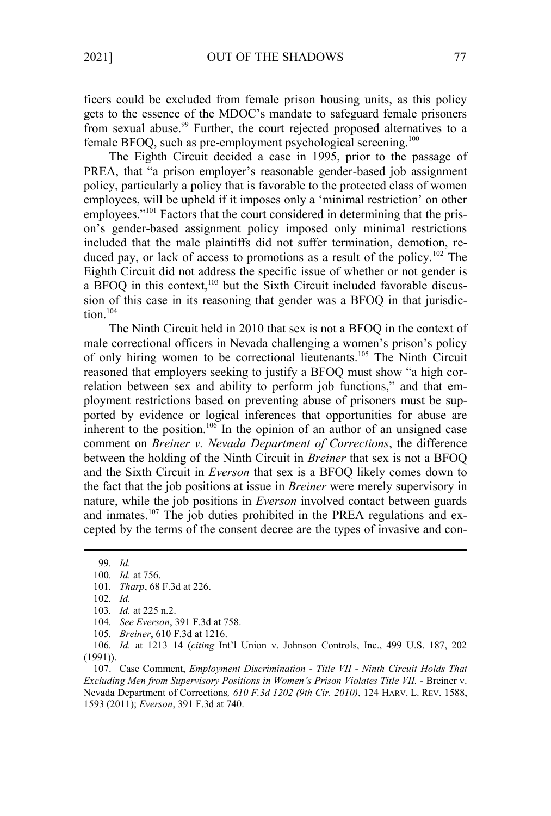from sexual abuse.<sup>99</sup> Further, the court rejected proposed alternatives to a

ficers could be excluded from female prison housing units, as this policy gets to the essence of the MDOC's mandate to safeguard female prisoners

female BFOQ, such as pre-employment psychological screening.<sup>100</sup> The Eighth Circuit decided a case in 1995, prior to the passage of PREA, that "a prison employer's reasonable gender-based job assignment policy, particularly a policy that is favorable to the protected class of women employees, will be upheld if it imposes only a 'minimal restriction' on other employees."<sup>101</sup> Factors that the court considered in determining that the prison's gender-based assignment policy imposed only minimal restrictions included that the male plaintiffs did not suffer termination, demotion, reduced pay, or lack of access to promotions as a result of the policy.<sup>102</sup> The Eighth Circuit did not address the specific issue of whether or not gender is a BFOQ in this context,<sup>103</sup> but the Sixth Circuit included favorable discussion of this case in its reasoning that gender was a BFOQ in that jurisdiction $104$ 

The Ninth Circuit held in 2010 that sex is not a BFOQ in the context of male correctional officers in Nevada challenging a women's prison's policy of only hiring women to be correctional lieutenants.<sup>105</sup> The Ninth Circuit reasoned that employers seeking to justify a BFOQ must show "a high correlation between sex and ability to perform job functions," and that employment restrictions based on preventing abuse of prisoners must be supported by evidence or logical inferences that opportunities for abuse are inherent to the position.<sup>106</sup> In the opinion of an author of an unsigned case comment on *Breiner v. Nevada Department of Corrections*, the difference between the holding of the Ninth Circuit in *Breiner* that sex is not a BFOQ and the Sixth Circuit in *Everson* that sex is a BFOQ likely comes down to the fact that the job positions at issue in *Breiner* were merely supervisory in nature, while the job positions in *Everson* involved contact between guards and inmates.<sup>107</sup> The job duties prohibited in the PREA regulations and excepted by the terms of the consent decree are the types of invasive and con-

102*. Id.* 

<sup>99</sup>*. Id.*

<sup>100</sup>*. Id.* at 756.

<sup>101</sup>*. Tharp*, 68 F.3d at 226.

<sup>103</sup>*. Id.* at 225 n.2.

<sup>104</sup>*. See Everson*, 391 F.3d at 758.

<sup>105</sup>*. Breiner*, 610 F.3d at 1216.

<sup>106</sup>*. Id.* at 1213–14 (*citing* Int'l Union v. Johnson Controls, Inc., 499 U.S. 187, 202 (1991)).

<sup>107.</sup> Case Comment, *Employment Discrimination - Title VII - Ninth Circuit Holds That Excluding Men from Supervisory Positions in Women's Prison Violates Title VII. -* Breiner v. Nevada Department of Corrections*, 610 F.3d 1202 (9th Cir. 2010)*, 124 HARV. L. REV. 1588, 1593 (2011); *Everson*, 391 F.3d at 740.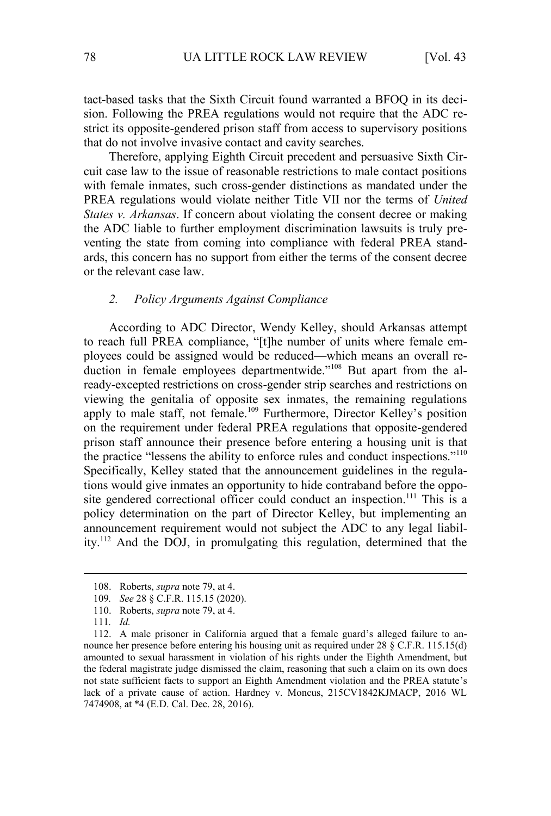tact-based tasks that the Sixth Circuit found warranted a BFOQ in its decision. Following the PREA regulations would not require that the ADC restrict its opposite-gendered prison staff from access to supervisory positions that do not involve invasive contact and cavity searches.

Therefore, applying Eighth Circuit precedent and persuasive Sixth Circuit case law to the issue of reasonable restrictions to male contact positions with female inmates, such cross-gender distinctions as mandated under the PREA regulations would violate neither Title VII nor the terms of *United States v. Arkansas*. If concern about violating the consent decree or making the ADC liable to further employment discrimination lawsuits is truly preventing the state from coming into compliance with federal PREA standards, this concern has no support from either the terms of the consent decree or the relevant case law.

### *2. Policy Arguments Against Compliance*

According to ADC Director, Wendy Kelley, should Arkansas attempt to reach full PREA compliance, "[t]he number of units where female employees could be assigned would be reduced—which means an overall reduction in female employees departmentwide."<sup>108</sup> But apart from the already-excepted restrictions on cross-gender strip searches and restrictions on viewing the genitalia of opposite sex inmates, the remaining regulations apply to male staff, not female.<sup>109</sup> Furthermore, Director Kelley's position on the requirement under federal PREA regulations that opposite-gendered prison staff announce their presence before entering a housing unit is that the practice "lessens the ability to enforce rules and conduct inspections."<sup>110</sup> Specifically, Kelley stated that the announcement guidelines in the regulations would give inmates an opportunity to hide contraband before the opposite gendered correctional officer could conduct an inspection.<sup>111</sup> This is a policy determination on the part of Director Kelley, but implementing an announcement requirement would not subject the ADC to any legal liability.<sup>112</sup> And the DOJ, in promulgating this regulation, determined that the

<sup>108.</sup> Roberts, *supra* note 79, at 4.

<sup>109</sup>*. See* 28 § C.F.R. 115.15 (2020).

<sup>110.</sup> Roberts, *supra* note 79, at 4.

<sup>111</sup>*. Id.*

<sup>112.</sup> A male prisoner in California argued that a female guard's alleged failure to announce her presence before entering his housing unit as required under 28 § C.F.R. 115.15(d) amounted to sexual harassment in violation of his rights under the Eighth Amendment, but the federal magistrate judge dismissed the claim, reasoning that such a claim on its own does not state sufficient facts to support an Eighth Amendment violation and the PREA statute's lack of a private cause of action. Hardney v. Moncus, 215CV1842KJMACP, 2016 WL 7474908, at \*4 (E.D. Cal. Dec. 28, 2016).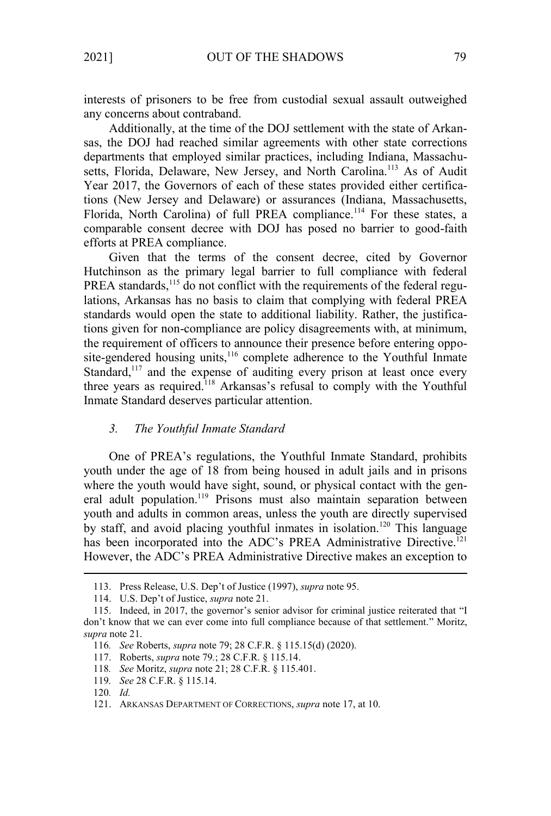interests of prisoners to be free from custodial sexual assault outweighed any concerns about contraband.

Additionally, at the time of the DOJ settlement with the state of Arkansas, the DOJ had reached similar agreements with other state corrections departments that employed similar practices, including Indiana, Massachusetts, Florida, Delaware, New Jersey, and North Carolina.<sup>113</sup> As of Audit Year 2017, the Governors of each of these states provided either certifications (New Jersey and Delaware) or assurances (Indiana, Massachusetts, Florida, North Carolina) of full PREA compliance.<sup>114</sup> For these states, a comparable consent decree with DOJ has posed no barrier to good-faith efforts at PREA compliance.

Given that the terms of the consent decree, cited by Governor Hutchinson as the primary legal barrier to full compliance with federal PREA standards,<sup>115</sup> do not conflict with the requirements of the federal regulations, Arkansas has no basis to claim that complying with federal PREA standards would open the state to additional liability. Rather, the justifications given for non-compliance are policy disagreements with, at minimum, the requirement of officers to announce their presence before entering opposite-gendered housing units,<sup>116</sup> complete adherence to the Youthful Inmate Standard,<sup>117</sup> and the expense of auditing every prison at least once every three years as required.<sup>118</sup> Arkansas's refusal to comply with the Youthful Inmate Standard deserves particular attention.

#### *3. The Youthful Inmate Standard*

One of PREA's regulations, the Youthful Inmate Standard, prohibits youth under the age of 18 from being housed in adult jails and in prisons where the youth would have sight, sound, or physical contact with the general adult population.<sup>119</sup> Prisons must also maintain separation between youth and adults in common areas, unless the youth are directly supervised by staff, and avoid placing youthful inmates in isolation.<sup>120</sup> This language has been incorporated into the ADC's PREA Administrative Directive.<sup>121</sup> However, the ADC's PREA Administrative Directive makes an exception to

<sup>113.</sup> Press Release, U.S. Dep't of Justice (1997), *supra* note 95.

<sup>114.</sup> U.S. Dep't of Justice, *supra* note 21.

<sup>115.</sup> Indeed, in 2017, the governor's senior advisor for criminal justice reiterated that "I don't know that we can ever come into full compliance because of that settlement." Moritz, *supra* note 21.

<sup>116</sup>*. See* Roberts, *supra* note 79; 28 C.F.R. § 115.15(d) (2020).

<sup>117.</sup> Roberts, *supra* note 79*.*; 28 C.F.R. § 115.14.

<sup>118</sup>*. See* Moritz, *supra* note 21; 28 C.F.R. § 115.401.

<sup>119</sup>*. See* 28 C.F.R. § 115.14.

<sup>120</sup>*. Id.*

<sup>121.</sup> ARKANSAS DEPARTMENT OF CORRECTIONS, *supra* note 17, at 10.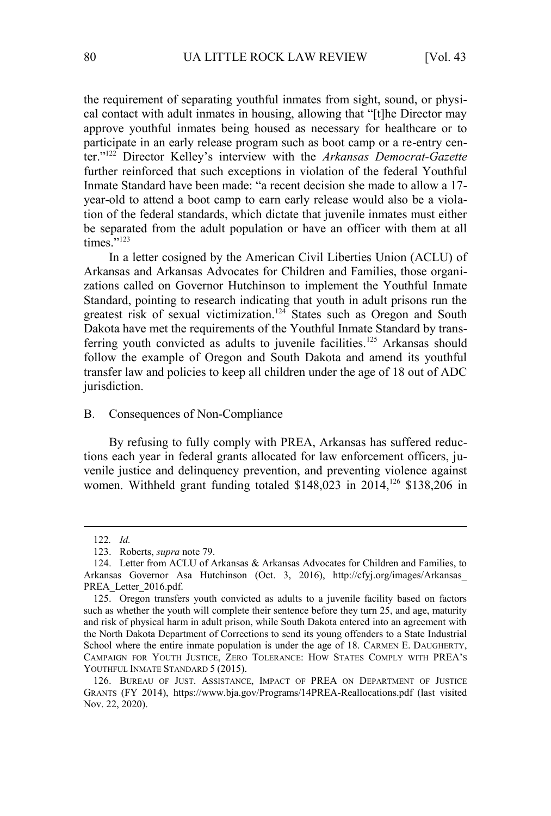the requirement of separating youthful inmates from sight, sound, or physical contact with adult inmates in housing, allowing that "[t]he Director may approve youthful inmates being housed as necessary for healthcare or to participate in an early release program such as boot camp or a re-entry center."<sup>122</sup> Director Kelley's interview with the *Arkansas Democrat-Gazette* further reinforced that such exceptions in violation of the federal Youthful Inmate Standard have been made: "a recent decision she made to allow a 17 year-old to attend a boot camp to earn early release would also be a violation of the federal standards, which dictate that juvenile inmates must either be separated from the adult population or have an officer with them at all  $times$ <sup>"123</sup>

In a letter cosigned by the American Civil Liberties Union (ACLU) of Arkansas and Arkansas Advocates for Children and Families, those organizations called on Governor Hutchinson to implement the Youthful Inmate Standard, pointing to research indicating that youth in adult prisons run the greatest risk of sexual victimization.<sup>124</sup> States such as Oregon and South Dakota have met the requirements of the Youthful Inmate Standard by transferring youth convicted as adults to juvenile facilities.<sup>125</sup> Arkansas should follow the example of Oregon and South Dakota and amend its youthful transfer law and policies to keep all children under the age of 18 out of ADC jurisdiction.

### B. Consequences of Non-Compliance

By refusing to fully comply with PREA, Arkansas has suffered reductions each year in federal grants allocated for law enforcement officers, juvenile justice and delinquency prevention, and preventing violence against women. Withheld grant funding totaled  $$148,023$  in  $2014$ ,<sup>126</sup> \$138,206 in

<sup>122</sup>*. Id.*

<sup>123.</sup> Roberts, *supra* note 79.

<sup>124.</sup> Letter from ACLU of Arkansas & Arkansas Advocates for Children and Families, to Arkansas Governor Asa Hutchinson (Oct. 3, 2016), http://cfyj.org/images/Arkansas\_ PREA\_Letter\_2016.pdf.

<sup>125.</sup> Oregon transfers youth convicted as adults to a juvenile facility based on factors such as whether the youth will complete their sentence before they turn 25, and age, maturity and risk of physical harm in adult prison, while South Dakota entered into an agreement with the North Dakota Department of Corrections to send its young offenders to a State Industrial School where the entire inmate population is under the age of 18. CARMEN E. DAUGHERTY, CAMPAIGN FOR YOUTH JUSTICE, ZERO TOLERANCE: HOW STATES COMPLY WITH PREA'S YOUTHFUL INMATE STANDARD 5 (2015).

<sup>126.</sup> BUREAU OF JUST. ASSISTANCE, IMPACT OF PREA ON DEPARTMENT OF JUSTICE GRANTS (FY 2014), https://www.bja.gov/Programs/14PREA-Reallocations.pdf (last visited Nov. 22, 2020).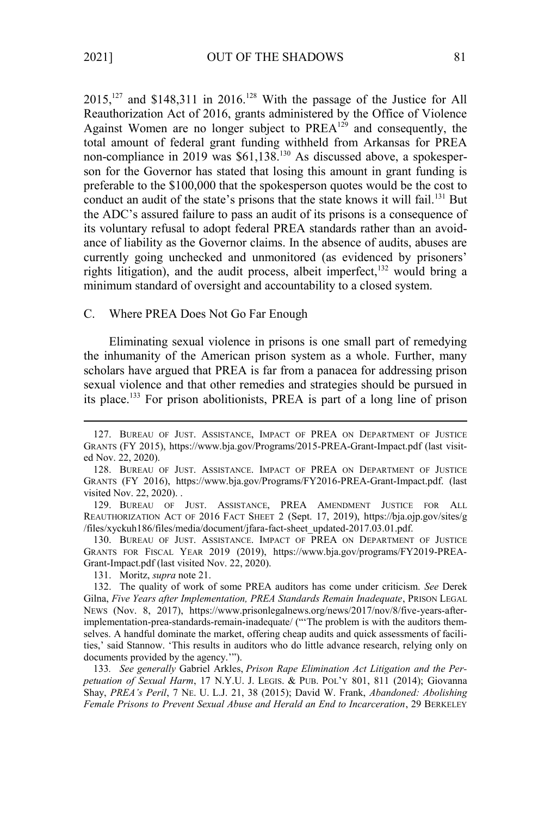$2015$ ,<sup>127</sup> and \$148,311 in 2016.<sup>128</sup> With the passage of the Justice for All Reauthorization Act of 2016, grants administered by the Office of Violence Against Women are no longer subject to  $PREA^{129}$  and consequently, the total amount of federal grant funding withheld from Arkansas for PREA non-compliance in 2019 was \$61,138.<sup>130</sup> As discussed above, a spokesperson for the Governor has stated that losing this amount in grant funding is preferable to the \$100,000 that the spokesperson quotes would be the cost to conduct an audit of the state's prisons that the state knows it will fail.<sup>131</sup> But the ADC's assured failure to pass an audit of its prisons is a consequence of its voluntary refusal to adopt federal PREA standards rather than an avoidance of liability as the Governor claims. In the absence of audits, abuses are currently going unchecked and unmonitored (as evidenced by prisoners' rights litigation), and the audit process, albeit imperfect,  $132$  would bring a minimum standard of oversight and accountability to a closed system.

#### C. Where PREA Does Not Go Far Enough

Eliminating sexual violence in prisons is one small part of remedying the inhumanity of the American prison system as a whole. Further, many scholars have argued that PREA is far from a panacea for addressing prison sexual violence and that other remedies and strategies should be pursued in its place.<sup>133</sup> For prison abolitionists, PREA is part of a long line of prison

129. BUREAU OF JUST. ASSISTANCE, PREA AMENDMENT JUSTICE FOR ALL REAUTHORIZATION ACT OF 2016 FACT SHEET 2 (Sept. 17, 2019), https://bja.ojp.gov/sites/g /files/xyckuh186/files/media/document/jfara-fact-sheet\_updated-2017.03.01.pdf.

130. BUREAU OF JUST. ASSISTANCE. IMPACT OF PREA ON DEPARTMENT OF JUSTICE GRANTS FOR FISCAL YEAR 2019 (2019), https://www.bja.gov/programs/FY2019-PREA-Grant-Impact.pdf (last visited Nov. 22, 2020).

131. Moritz, *supra* note 21.

133*. See generally* Gabriel Arkles, *Prison Rape Elimination Act Litigation and the Perpetuation of Sexual Harm*, 17 N.Y.U. J. LEGIS. & PUB. POL'Y 801, 811 (2014); Giovanna Shay, *PREA's Peril*, 7 NE. U. L.J. 21, 38 (2015); David W. Frank, *Abandoned: Abolishing Female Prisons to Prevent Sexual Abuse and Herald an End to Incarceration*, 29 BERKELEY

<sup>127.</sup> BUREAU OF JUST. ASSISTANCE, IMPACT OF PREA ON DEPARTMENT OF JUSTICE GRANTS (FY 2015), https://www.bja.gov/Programs/2015-PREA-Grant-Impact.pdf (last visited Nov. 22, 2020).

<sup>128.</sup> BUREAU OF JUST. ASSISTANCE. IMPACT OF PREA ON DEPARTMENT OF JUSTICE GRANTS (FY 2016), https://www.bja.gov/Programs/FY2016-PREA-Grant-Impact.pdf. (last visited Nov. 22, 2020). .

<sup>132.</sup> The quality of work of some PREA auditors has come under criticism. *See* Derek Gilna, *Five Years after Implementation, PREA Standards Remain Inadequate*, PRISON LEGAL NEWS (Nov. 8, 2017), https://www.prisonlegalnews.org/news/2017/nov/8/five-years-afterimplementation-prea-standards-remain-inadequate/ ("'The problem is with the auditors themselves. A handful dominate the market, offering cheap audits and quick assessments of facilities,' said Stannow. 'This results in auditors who do little advance research, relying only on documents provided by the agency.'").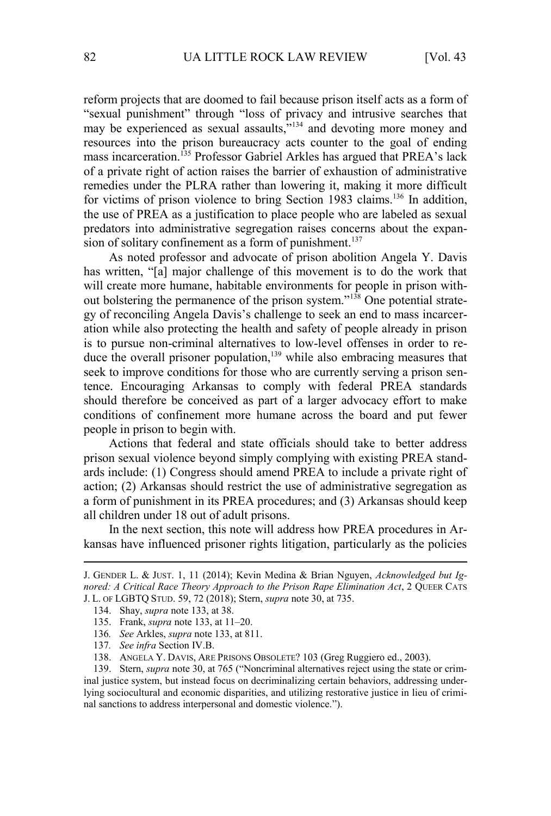reform projects that are doomed to fail because prison itself acts as a form of "sexual punishment" through "loss of privacy and intrusive searches that may be experienced as sexual assaults,  $\frac{1}{2}$  and devoting more money and resources into the prison bureaucracy acts counter to the goal of ending mass incarceration.<sup>135</sup> Professor Gabriel Arkles has argued that PREA's lack of a private right of action raises the barrier of exhaustion of administrative remedies under the PLRA rather than lowering it, making it more difficult for victims of prison violence to bring Section 1983 claims.<sup>136</sup> In addition, the use of PREA as a justification to place people who are labeled as sexual predators into administrative segregation raises concerns about the expansion of solitary confinement as a form of punishment.<sup>137</sup>

As noted professor and advocate of prison abolition Angela Y. Davis has written, "[a] major challenge of this movement is to do the work that will create more humane, habitable environments for people in prison without bolstering the permanence of the prison system."138 One potential strategy of reconciling Angela Davis's challenge to seek an end to mass incarceration while also protecting the health and safety of people already in prison is to pursue non-criminal alternatives to low-level offenses in order to reduce the overall prisoner population,<sup>139</sup> while also embracing measures that seek to improve conditions for those who are currently serving a prison sentence. Encouraging Arkansas to comply with federal PREA standards should therefore be conceived as part of a larger advocacy effort to make conditions of confinement more humane across the board and put fewer people in prison to begin with.

Actions that federal and state officials should take to better address prison sexual violence beyond simply complying with existing PREA standards include: (1) Congress should amend PREA to include a private right of action; (2) Arkansas should restrict the use of administrative segregation as a form of punishment in its PREA procedures; and (3) Arkansas should keep all children under 18 out of adult prisons.

In the next section, this note will address how PREA procedures in Arkansas have influenced prisoner rights litigation, particularly as the policies

- 136*. See* Arkles, *supra* note 133, at 811.
- 137*. See infra* Section IV.B.

J. GENDER L. & JUST. 1, 11 (2014); Kevin Medina & Brian Nguyen, *Acknowledged but Ignored: A Critical Race Theory Approach to the Prison Rape Elimination Act*, 2 QUEER CATS J. L. OF LGBTQ STUD. 59, 72 (2018); Stern, *supra* note 30, at 735.

<sup>134.</sup> Shay, *supra* note 133, at 38.

<sup>135.</sup> Frank, *supra* note 133, at 11–20.

<sup>138.</sup> ANGELA Y. DAVIS, ARE PRISONS OBSOLETE? 103 (Greg Ruggiero ed., 2003).

<sup>139.</sup> Stern, *supra* note 30, at 765 ("Noncriminal alternatives reject using the state or criminal justice system, but instead focus on decriminalizing certain behaviors, addressing underlying sociocultural and economic disparities, and utilizing restorative justice in lieu of criminal sanctions to address interpersonal and domestic violence.").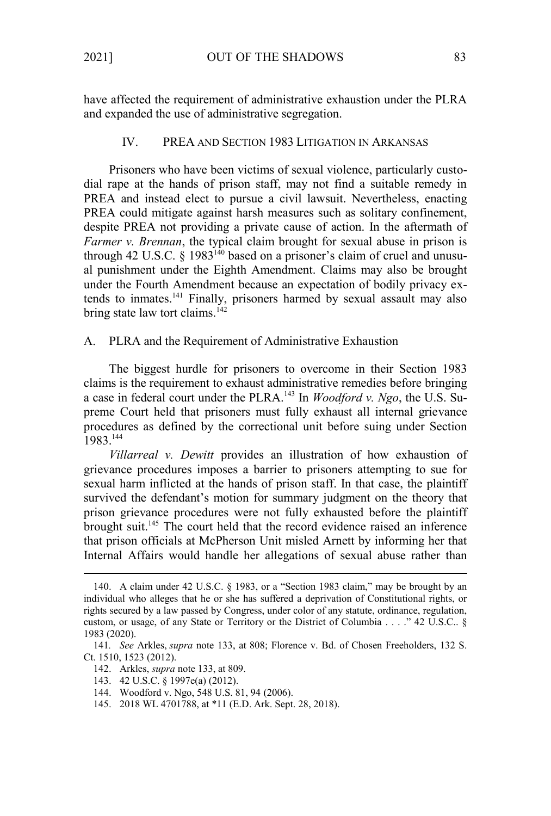have affected the requirement of administrative exhaustion under the PLRA and expanded the use of administrative segregation.

#### IV. PREA AND SECTION 1983 LITIGATION IN ARKANSAS

Prisoners who have been victims of sexual violence, particularly custodial rape at the hands of prison staff, may not find a suitable remedy in PREA and instead elect to pursue a civil lawsuit. Nevertheless, enacting PREA could mitigate against harsh measures such as solitary confinement, despite PREA not providing a private cause of action. In the aftermath of *Farmer v. Brennan*, the typical claim brought for sexual abuse in prison is through 42 U.S.C. § 1983<sup>140</sup> based on a prisoner's claim of cruel and unusual punishment under the Eighth Amendment. Claims may also be brought under the Fourth Amendment because an expectation of bodily privacy extends to inmates.<sup>141</sup> Finally, prisoners harmed by sexual assault may also bring state law tort claims.<sup>142</sup>

#### A. PLRA and the Requirement of Administrative Exhaustion

The biggest hurdle for prisoners to overcome in their Section 1983 claims is the requirement to exhaust administrative remedies before bringing a case in federal court under the PLRA.143 In *Woodford v. Ngo*, the U.S. Supreme Court held that prisoners must fully exhaust all internal grievance procedures as defined by the correctional unit before suing under Section 1983.<sup>144</sup>

*Villarreal v. Dewitt* provides an illustration of how exhaustion of grievance procedures imposes a barrier to prisoners attempting to sue for sexual harm inflicted at the hands of prison staff. In that case, the plaintiff survived the defendant's motion for summary judgment on the theory that prison grievance procedures were not fully exhausted before the plaintiff brought suit.<sup>145</sup> The court held that the record evidence raised an inference that prison officials at McPherson Unit misled Arnett by informing her that Internal Affairs would handle her allegations of sexual abuse rather than

- 143. 42 U.S.C. § 1997e(a) (2012).
- 144. Woodford v. Ngo, 548 U.S. 81, 94 (2006).
- 145. 2018 WL 4701788, at \*11 (E.D. Ark. Sept. 28, 2018).

<sup>140.</sup> A claim under 42 U.S.C. § 1983, or a "Section 1983 claim," may be brought by an individual who alleges that he or she has suffered a deprivation of Constitutional rights, or rights secured by a law passed by Congress, under color of any statute, ordinance, regulation, custom, or usage, of any State or Territory or the District of Columbia . . . ." 42 U.S.C.. § 1983 (2020).

<sup>141</sup>*. See* Arkles, *supra* note 133, at 808; Florence v. Bd. of Chosen Freeholders, 132 S. Ct. 1510, 1523 (2012).

<sup>142.</sup> Arkles, *supra* note 133, at 809.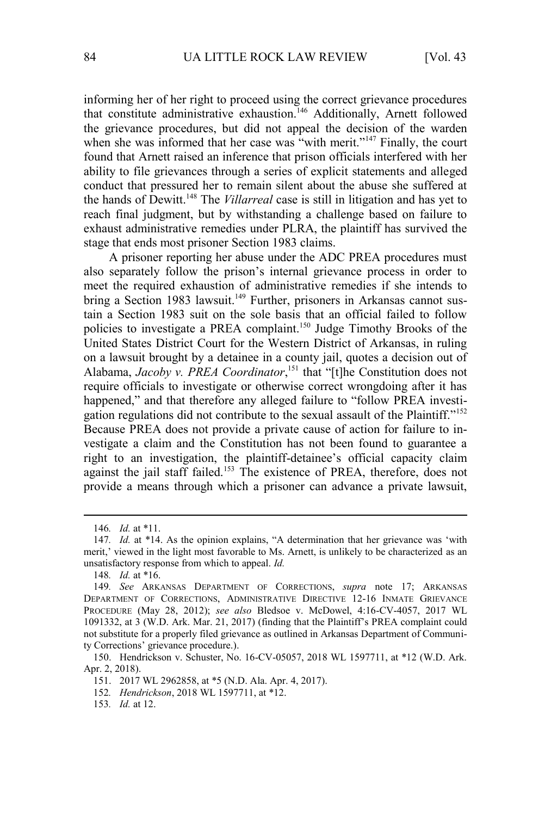informing her of her right to proceed using the correct grievance procedures that constitute administrative exhaustion.<sup>146</sup> Additionally, Arnett followed the grievance procedures, but did not appeal the decision of the warden when she was informed that her case was "with merit."<sup>147</sup> Finally, the court found that Arnett raised an inference that prison officials interfered with her ability to file grievances through a series of explicit statements and alleged conduct that pressured her to remain silent about the abuse she suffered at the hands of Dewitt.<sup>148</sup> The *Villarreal* case is still in litigation and has yet to reach final judgment, but by withstanding a challenge based on failure to exhaust administrative remedies under PLRA, the plaintiff has survived the stage that ends most prisoner Section 1983 claims.

A prisoner reporting her abuse under the ADC PREA procedures must also separately follow the prison's internal grievance process in order to meet the required exhaustion of administrative remedies if she intends to bring a Section 1983 lawsuit.<sup>149</sup> Further, prisoners in Arkansas cannot sustain a Section 1983 suit on the sole basis that an official failed to follow policies to investigate a PREA complaint.<sup>150</sup> Judge Timothy Brooks of the United States District Court for the Western District of Arkansas, in ruling on a lawsuit brought by a detainee in a county jail, quotes a decision out of Alabama, *Jacoby v. PREA Coordinator*, <sup>151</sup> that "[t]he Constitution does not require officials to investigate or otherwise correct wrongdoing after it has happened," and that therefore any alleged failure to "follow PREA investigation regulations did not contribute to the sexual assault of the Plaintiff."<sup>152</sup> Because PREA does not provide a private cause of action for failure to investigate a claim and the Constitution has not been found to guarantee a right to an investigation, the plaintiff-detainee's official capacity claim against the jail staff failed.<sup>153</sup> The existence of PREA, therefore, does not provide a means through which a prisoner can advance a private lawsuit,

<sup>146</sup>*. Id.* at \*11.

<sup>147</sup>*. Id.* at \*14. As the opinion explains, "A determination that her grievance was 'with merit,' viewed in the light most favorable to Ms. Arnett, is unlikely to be characterized as an unsatisfactory response from which to appeal. *Id.*

<sup>148</sup>*. Id.* at \*16.

<sup>149</sup>*. See* ARKANSAS DEPARTMENT OF CORRECTIONS, *supra* note 17; ARKANSAS DEPARTMENT OF CORRECTIONS, ADMINISTRATIVE DIRECTIVE 12-16 INMATE GRIEVANCE PROCEDURE (May 28, 2012); *see also* Bledsoe v. McDowel, 4:16-CV-4057, 2017 WL 1091332, at 3 (W.D. Ark. Mar. 21, 2017) (finding that the Plaintiff's PREA complaint could not substitute for a properly filed grievance as outlined in Arkansas Department of Community Corrections' grievance procedure.).

<sup>150.</sup> Hendrickson v. Schuster, No. 16-CV-05057, 2018 WL 1597711, at \*12 (W.D. Ark. Apr. 2, 2018).

<sup>151. 2017</sup> WL 2962858, at \*5 (N.D. Ala. Apr. 4, 2017).

<sup>152</sup>*. Hendrickson*, 2018 WL 1597711, at \*12.

<sup>153</sup>*. Id.* at 12.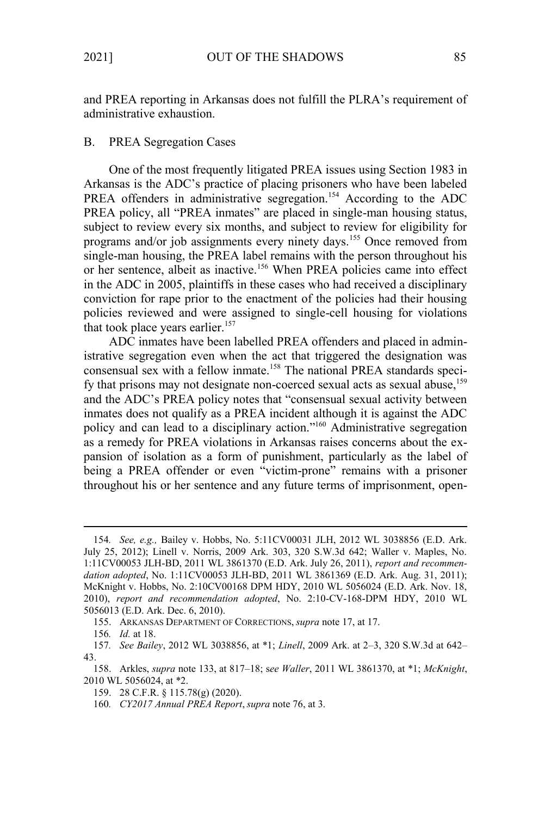and PREA reporting in Arkansas does not fulfill the PLRA's requirement of administrative exhaustion.

## B. PREA Segregation Cases

One of the most frequently litigated PREA issues using Section 1983 in Arkansas is the ADC's practice of placing prisoners who have been labeled PREA offenders in administrative segregation.<sup>154</sup> According to the ADC PREA policy, all "PREA inmates" are placed in single-man housing status, subject to review every six months, and subject to review for eligibility for programs and/or job assignments every ninety days.<sup>155</sup> Once removed from single-man housing, the PREA label remains with the person throughout his or her sentence, albeit as inactive.<sup>156</sup> When PREA policies came into effect in the ADC in 2005, plaintiffs in these cases who had received a disciplinary conviction for rape prior to the enactment of the policies had their housing policies reviewed and were assigned to single-cell housing for violations that took place years earlier. $157$ 

ADC inmates have been labelled PREA offenders and placed in administrative segregation even when the act that triggered the designation was consensual sex with a fellow inmate.<sup>158</sup> The national PREA standards specify that prisons may not designate non-coerced sexual acts as sexual abuse, $159$ and the ADC's PREA policy notes that "consensual sexual activity between inmates does not qualify as a PREA incident although it is against the ADC policy and can lead to a disciplinary action." <sup>160</sup> Administrative segregation as a remedy for PREA violations in Arkansas raises concerns about the expansion of isolation as a form of punishment, particularly as the label of being a PREA offender or even "victim-prone" remains with a prisoner throughout his or her sentence and any future terms of imprisonment, open-

<sup>154</sup>*. See, e.g.,* Bailey v. Hobbs, No. 5:11CV00031 JLH, 2012 WL 3038856 (E.D. Ark. July 25, 2012); Linell v. Norris, 2009 Ark. 303, 320 S.W.3d 642; Waller v. Maples, No. 1:11CV00053 JLH-BD, 2011 WL 3861370 (E.D. Ark. July 26, 2011), *report and recommendation adopted*, No. 1:11CV00053 JLH-BD, 2011 WL 3861369 (E.D. Ark. Aug. 31, 2011); McKnight v. Hobbs, No. 2:10CV00168 DPM HDY, 2010 WL 5056024 (E.D. Ark. Nov. 18, 2010), *report and recommendation adopted*, No. 2:10-CV-168-DPM HDY, 2010 WL 5056013 (E.D. Ark. Dec. 6, 2010).

<sup>155.</sup> ARKANSAS DEPARTMENT OF CORRECTIONS, *supra* note 17, at 17.

<sup>156</sup>*. Id.* at 18.

<sup>157</sup>*. See Bailey*, 2012 WL 3038856, at \*1; *Linell*, 2009 Ark. at 2–3, 320 S.W.3d at 642– 43.

<sup>158.</sup> Arkles, *supra* note 133, at 817–18; s*ee Waller*, 2011 WL 3861370, at \*1; *McKnight*, 2010 WL 5056024, at \*2.

<sup>159. 28</sup> C.F.R. § 115.78(g) (2020).

<sup>160</sup>*. CY2017 Annual PREA Report*,*supra* note 76, at 3.